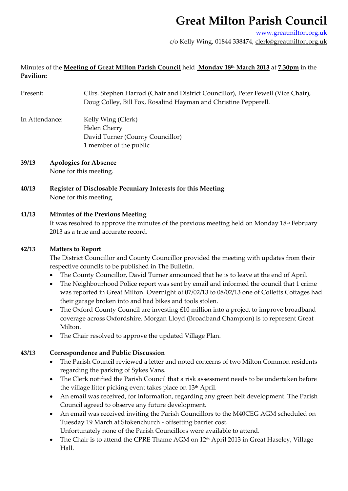# **Great Milton Parish Council**

www.greatmilton.org.uk

c/o Kelly Wing, 01844 338474, clerk@greatmilton.org.uk

## Minutes of the **Meeting of Great Milton Parish Council** held **Monday 18th March 2013** at **7.30pm** in the **Pavilion:**

- Present: Cllrs. Stephen Harrod (Chair and District Councillor), Peter Fewell (Vice Chair), Doug Colley, Bill Fox, Rosalind Hayman and Christine Pepperell.
- In Attendance: Kelly Wing (Clerk) Helen Cherry David Turner (County Councillor) 1 member of the public
- **39/13 Apologies for Absence** None for this meeting.
- **40/13 Register of Disclosable Pecuniary Interests for this Meeting** None for this meeting.

### **41/13 Minutes of the Previous Meeting**

It was resolved to approve the minutes of the previous meeting held on Monday 18<sup>th</sup> February 2013 as a true and accurate record.

#### **42/13 Matters to Report**

The District Councillor and County Councillor provided the meeting with updates from their respective councils to be published in The Bulletin.

- The County Councillor, David Turner announced that he is to leave at the end of April.
- The Neighbourhood Police report was sent by email and informed the council that 1 crime was reported in Great Milton. Overnight of 07/02/13 to 08/02/13 one of Colletts Cottages had their garage broken into and had bikes and tools stolen.
- The Oxford County Council are investing £10 million into a project to improve broadband coverage across Oxfordshire*.* Morgan Lloyd (Broadband Champion) is to represent Great Milton.
- The Chair resolved to approve the updated Village Plan.

### **43/13 Correspondence and Public Discussion**

- The Parish Council reviewed a letter and noted concerns of two Milton Common residents regarding the parking of Sykes Vans.
- The Clerk notified the Parish Council that a risk assessment needs to be undertaken before the village litter picking event takes place on 13th April.
- An email was received, for information, regarding any green belt development. The Parish Council agreed to observe any future development.
- An email was received inviting the Parish Councillors to the M40CEG AGM scheduled on Tuesday 19 March at Stokenchurch ‐ offsetting barrier cost. Unfortunately none of the Parish Councillors were available to attend.
- The Chair is to attend the CPRE Thame AGM on 12<sup>th</sup> April 2013 in Great Haseley, Village Hall.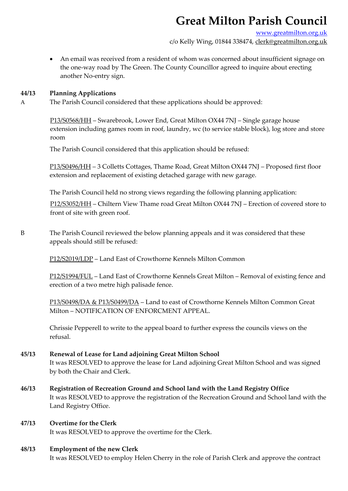# **Great Milton Parish Council**

www.greatmilton.org.uk

c/o Kelly Wing, 01844 338474, clerk@greatmilton.org.uk

 An email was received from a resident of whom was concerned about insufficient signage on the one‐way road by The Green. The County Councillor agreed to inquire about erecting another No‐entry sign.

#### **44/13 Planning Applications**

A The Parish Council considered that these applications should be approved:

P13/S0568/HH – Swarebrook, Lower End, Great Milton OX44 7NJ – Single garage house extension including games room in roof, laundry, wc (to service stable block), log store and store room

The Parish Council considered that this application should be refused:

P13/S0496/HH – 3 Colletts Cottages, Thame Road, Great Milton OX44 7NJ – Proposed first floor extension and replacement of existing detached garage with new garage.

The Parish Council held no strong views regarding the following planning application:

P12/S3052/HH – Chiltern View Thame road Great Milton OX44 7NJ – Erection of covered store to front of site with green roof.

B The Parish Council reviewed the below planning appeals and it was considered that these appeals should still be refused:

P12/S2019/LDP – Land East of Crowthorne Kennels Milton Common

P12/S1994/FUL – Land East of Crowthorne Kennels Great Milton – Removal of existing fence and erection of a two metre high palisade fence.

P13/S0498/DA & P13/S0499/DA – Land to east of Crowthorne Kennels Milton Common Great Milton – NOTIFICATION OF ENFORCMENT APPEAL.

Chrissie Pepperell to write to the appeal board to further express the councils views on the refusal.

- **45/13 Renewal of Lease for Land adjoining Great Milton School** It was RESOLVED to approve the lease for Land adjoining Great Milton School and was signed by both the Chair and Clerk.
- **46/13 Registration of Recreation Ground and School land with the Land Registry Office** It was RESOLVED to approve the registration of the Recreation Ground and School land with the Land Registry Office.
- **47/13 Overtime for the Clerk** It was RESOLVED to approve the overtime for the Clerk.

### **48/13 Employment of the new Clerk**

It was RESOLVED to employ Helen Cherry in the role of Parish Clerk and approve the contract